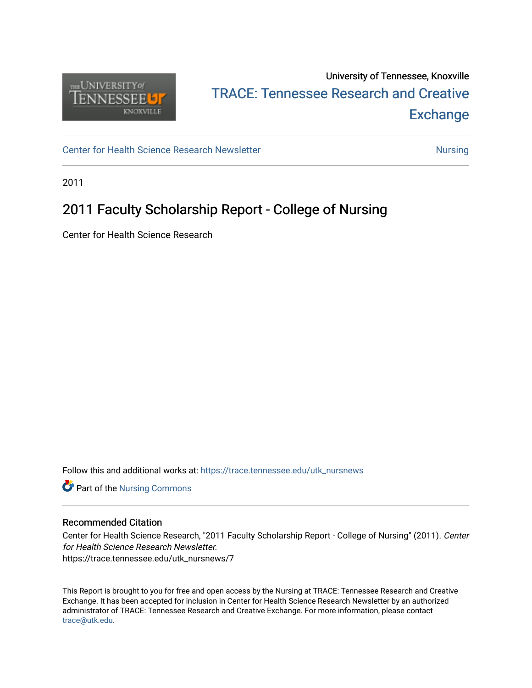

## University of Tennessee, Knoxville TRACE: T[ennessee Research and Cr](https://trace.tennessee.edu/)eative **Exchange**

[Center for Health Science Research Newsletter](https://trace.tennessee.edu/utk_nursnews) [Nursing](https://trace.tennessee.edu/utk-nurs) Nursing

2011

### 2011 Faculty Scholarship Report - College of Nursing

Center for Health Science Research

Follow this and additional works at: [https://trace.tennessee.edu/utk\\_nursnews](https://trace.tennessee.edu/utk_nursnews?utm_source=trace.tennessee.edu%2Futk_nursnews%2F7&utm_medium=PDF&utm_campaign=PDFCoverPages) 

Part of the [Nursing Commons](https://network.bepress.com/hgg/discipline/718?utm_source=trace.tennessee.edu%2Futk_nursnews%2F7&utm_medium=PDF&utm_campaign=PDFCoverPages) 

#### Recommended Citation

Center for Health Science Research, "2011 Faculty Scholarship Report - College of Nursing" (2011). Center for Health Science Research Newsletter. https://trace.tennessee.edu/utk\_nursnews/7

This Report is brought to you for free and open access by the Nursing at TRACE: Tennessee Research and Creative Exchange. It has been accepted for inclusion in Center for Health Science Research Newsletter by an authorized administrator of TRACE: Tennessee Research and Creative Exchange. For more information, please contact [trace@utk.edu.](mailto:trace@utk.edu)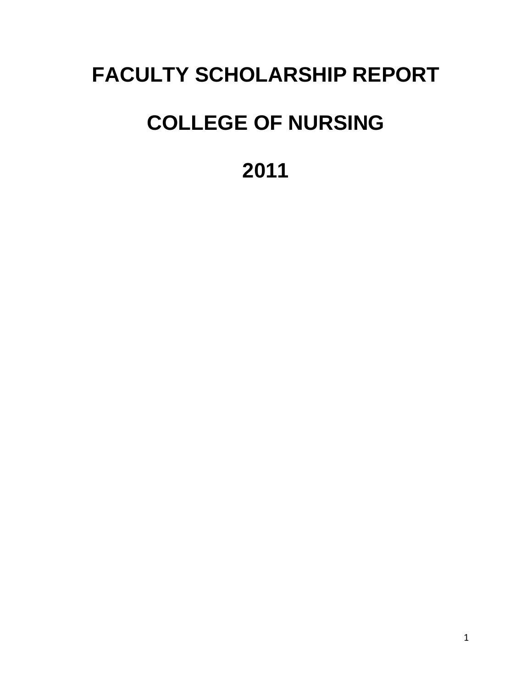## **FACULTY SCHOLARSHIP REPORT**

# **COLLEGE OF NURSING**

**2011**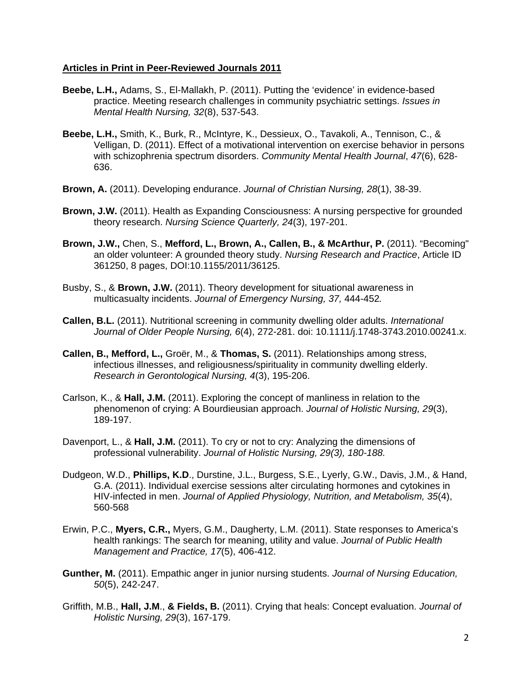#### **Articles in Print in Peer-Reviewed Journals 2011**

- **Beebe, L.H.,** Adams, S., El-Mallakh, P. (2011). Putting the 'evidence' in evidence-based practice. Meeting research challenges in community psychiatric settings. *Issues in Mental Health Nursing, 32*(8), 537-543.
- **Beebe, L.H.,** Smith, K., Burk, R., McIntyre, K., Dessieux, O., Tavakoli, A., Tennison, C., & Velligan, D. (2011). Effect of a motivational intervention on exercise behavior in persons with schizophrenia spectrum disorders. *Community Mental Health Journal*, *47*(6), 628- 636.
- **Brown, A.** (2011). Developing endurance. *Journal of Christian Nursing, 28*(1), 38-39.
- **Brown, J.W.** (2011). Health as Expanding Consciousness: A nursing perspective for grounded theory research. *Nursing Science Quarterly, 24*(3), 197-201.
- **Brown, J.W.,** Chen, S., **Mefford, L., Brown, A., Callen, B., & McArthur, P.** (2011). "Becoming" an older volunteer: A grounded theory study. *Nursing Research and Practice*, Article ID 361250, 8 pages, DOI:10.1155/2011/36125.
- Busby, S., & **Brown, J.W.** (2011). Theory development for situational awareness in multicasualty incidents. *Journal of Emergency Nursing, 37,* 444-452*.*
- **Callen, B.L.** (2011). Nutritional screening in community dwelling older adults. *International Journal of Older People Nursing, 6*(4), 272-281. doi: 10.1111/j.1748-3743.2010.00241.x.
- **Callen, B., Mefford, L.,** Groër, M., & **Thomas, S.** (2011). Relationships among stress, infectious illnesses, and religiousness/spirituality in community dwelling elderly. *Research in Gerontological Nursing, 4*(3), 195-206.
- Carlson, K., & **Hall, J.M.** (2011). Exploring the concept of manliness in relation to the phenomenon of crying: A Bourdieusian approach. *Journal of Holistic Nursing, 29*(3), 189-197.
- Davenport, L., & **Hall, J.M.** (2011). To cry or not to cry: Analyzing the dimensions of professional vulnerability. *Journal of Holistic Nursing, 29(3), 180-188.*
- Dudgeon, W.D., **Phillips, K.D**., Durstine, J.L., Burgess, S.E., Lyerly, G.W., Davis, J.M., & Hand, G.A. (2011). Individual exercise sessions alter circulating hormones and cytokines in HIV-infected in men. *Journal of Applied Physiology, Nutrition, and Metabolism, 35*(4), 560-568
- Erwin, P.C., **Myers, C.R.,** Myers, G.M., Daugherty, L.M. (2011). State responses to America's health rankings: The search for meaning, utility and value. *Journal of Public Health Management and Practice, 17*(5), 406-412.
- **Gunther, M.** (2011). Empathic anger in junior nursing students. *Journal of Nursing Education, 50*(5), 242-247.
- Griffith, M.B., **Hall, J.M**., **& Fields, B.** (2011). Crying that heals: Concept evaluation. *Journal of Holistic Nursing, 29*(3), 167-179.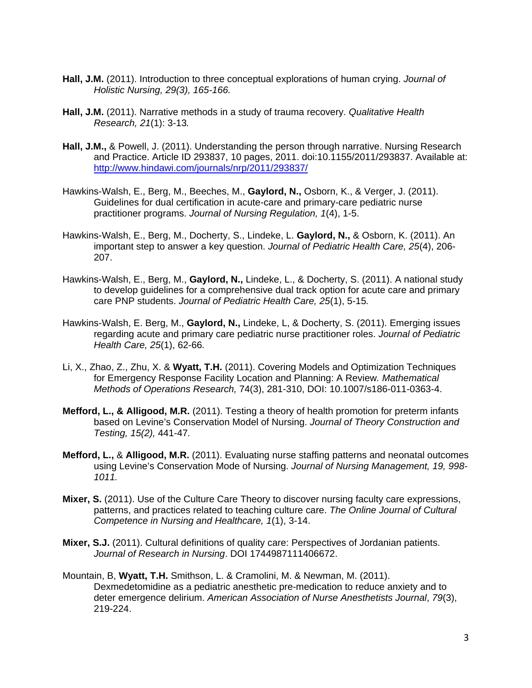- **Hall, J.M.** (2011). Introduction to three conceptual explorations of human crying. *Journal of Holistic Nursing, 29(3), 165-166.*
- **Hall, J.M.** (2011). Narrative methods in a study of trauma recovery. *Qualitative Health Research, 21*(1): 3-13*.*
- **Hall, J.M.,** & Powell, J. (2011). Understanding the person through narrative. Nursing Research and Practice. Article ID 293837, 10 pages, 2011. doi:10.1155/2011/293837. Available at: http://www.hindawi.com/journals/nrp/2011/293837/
- Hawkins-Walsh, E., Berg, M., Beeches, M., **Gaylord, N.,** Osborn, K., & Verger, J. (2011). Guidelines for dual certification in acute-care and primary-care pediatric nurse practitioner programs. *Journal of Nursing Regulation, 1*(4), 1-5.
- Hawkins-Walsh, E., Berg, M., Docherty, S., Lindeke, L. **Gaylord, N.,** & Osborn, K. (2011). An important step to answer a key question. *Journal of Pediatric Health Care, 25*(4), 206- 207.
- Hawkins-Walsh, E., Berg, M., **Gaylord, N.,** Lindeke, L., & Docherty, S. (2011). A national study to develop guidelines for a comprehensive dual track option for acute care and primary care PNP students. *Journal of Pediatric Health Care, 25*(1), 5-15*.*
- Hawkins-Walsh, E. Berg, M., **Gaylord, N.,** Lindeke, L, & Docherty, S. (2011). Emerging issues regarding acute and primary care pediatric nurse practitioner roles. *Journal of Pediatric Health Care, 25*(1), 62-66*.*
- Li, X., Zhao, Z., Zhu, X. & **Wyatt, T.H.** (2011). Covering Models and Optimization Techniques for Emergency Response Facility Location and Planning: A Review*. Mathematical Methods of Operations Research,* 74(3), 281-310, DOI: 10.1007/s186-011-0363-4.
- **Mefford, L., & Alligood, M.R.** (2011). Testing a theory of health promotion for preterm infants based on Levine's Conservation Model of Nursing. *Journal of Theory Construction and Testing, 15(2),* 441-47*.*
- **Mefford, L.,** & **Alligood, M.R.** (2011). Evaluating nurse staffing patterns and neonatal outcomes using Levine's Conservation Mode of Nursing. *Journal of Nursing Management, 19, 998- 1011.*
- **Mixer, S.** (2011). Use of the Culture Care Theory to discover nursing faculty care expressions, patterns, and practices related to teaching culture care. *The Online Journal of Cultural Competence in Nursing and Healthcare, 1*(1), 3-14.
- **Mixer, S.J.** (2011). Cultural definitions of quality care: Perspectives of Jordanian patients. *Journal of Research in Nursing*. DOI 1744987111406672.
- Mountain, B, **Wyatt, T.H.** Smithson, L. & Cramolini, M. & Newman, M. (2011). Dexmedetomidine as a pediatric anesthetic pre-medication to reduce anxiety and to deter emergence delirium. *American Association of Nurse Anesthetists Journal*, *79*(3), 219-224.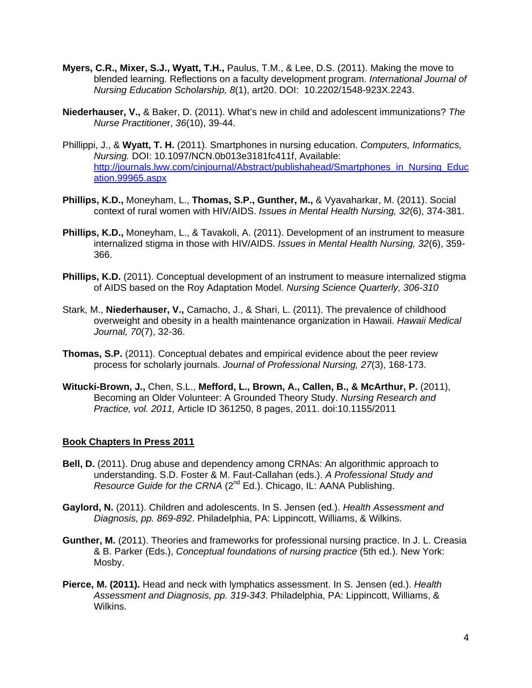- **Myers, C.R., Mixer, S.J., Wyatt, T.H.,** Paulus, T.M., & Lee, D.S. (2011). Making the move to blended learning. Reflections on a faculty development program. *International Journal of Nursing Education Scholarship, 8*(1), art20. DOI: 10.2202/1548-923X.2243.
- **Niederhauser, V.,** & Baker, D. (2011). What's new in child and adolescent immunizations? *The Nurse Practitione*r, *36*(10), 39-44.
- Phillippi, J., & **Wyatt, T. H.** (2011). Smartphones in nursing education. *Computers, Informatics, Nursing.* DOI: 10.1097/NCN.0b013e3181fc411f, Available: http://journals.lww.com/cinjournal/Abstract/publishahead/Smartphones\_in\_Nursing\_Educ ation.99965.aspx
- **Phillips, K.D.,** Moneyham, L., **Thomas, S.P., Gunther, M.,** & Vyavaharkar, M. (2011). Social context of rural women with HIV/AIDS. *Issues in Mental Health Nursing, 32*(6), 374-381.
- **Phillips, K.D.,** Moneyham, L., & Tavakoli, A. (2011). Development of an instrument to measure internalized stigma in those with HIV/AIDS. *Issues in Mental Health Nursing, 32*(6), 359- 366.
- **Phillips, K.D.** (2011). Conceptual development of an instrument to measure internalized stigma of AIDS based on the Roy Adaptation Model. *Nursing Science Quarterly, 306-310*
- Stark, M., **Niederhauser, V.,** Camacho, J., & Shari, L. (2011). The prevalence of childhood overweight and obesity in a health maintenance organization in Hawaii. *Hawaii Medical Journal, 70*(7), 32-36.
- **Thomas, S.P.** (2011). Conceptual debates and empirical evidence about the peer review process for scholarly journals. *Journal of Professional Nursing, 27*(3), 168-173.
- **Witucki-Brown, J.,** Chen, S.L., **Mefford, L., Brown, A., Callen, B., & McArthur, P.** (2011), Becoming an Older Volunteer: A Grounded Theory Study. *Nursing Research and Practice, vol. 2011,* Article ID 361250, 8 pages, 2011. doi:10.1155/2011

#### **Book Chapters In Press 2011**

- **Bell, D.** (2011). Drug abuse and dependency among CRNAs: An algorithmic approach to understanding. S.D. Foster & M. Faut-Callahan (eds.). *A Professional Study and Resource Guide for the CRNA* (2<sup>nd</sup> Ed.). Chicago, IL: AANA Publishing.
- **Gaylord, N.** (2011). Children and adolescents. In S. Jensen (ed.). *Health Assessment and Diagnosis, pp. 869-892*. Philadelphia, PA: Lippincott, Williams, & Wilkins.
- **Gunther, M.** (2011). Theories and frameworks for professional nursing practice. In J. L. Creasia & B. Parker (Eds.), *Conceptual foundations of nursing practice* (5th ed.). New York: Mosby.
- **Pierce, M. (2011).** Head and neck with lymphatics assessment. In S. Jensen (ed.). *Health Assessment and Diagnosis, pp. 319-343*. Philadelphia, PA: Lippincott, Williams, & Wilkins.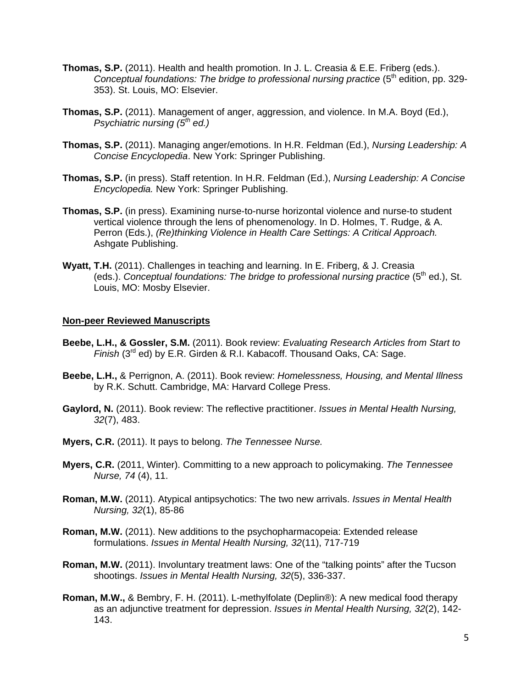- **Thomas, S.P.** (2011). Health and health promotion. In J. L. Creasia & E.E. Friberg (eds.). *Conceptual foundations: The bridge to professional nursing practice (5<sup>th</sup> edition, pp. 329-*353). St. Louis, MO: Elsevier.
- **Thomas, S.P.** (2011). Management of anger, aggression, and violence. In M.A. Boyd (Ed.), *Psychiatric nursing (5th ed.)*
- **Thomas, S.P.** (2011). Managing anger/emotions. In H.R. Feldman (Ed.), *Nursing Leadership: A Concise Encyclopedia*. New York: Springer Publishing.
- **Thomas, S.P.** (in press). Staff retention. In H.R. Feldman (Ed.), *Nursing Leadership: A Concise Encyclopedia.* New York: Springer Publishing.
- **Thomas, S.P.** (in press). Examining nurse-to-nurse horizontal violence and nurse-to student vertical violence through the lens of phenomenology. In D. Holmes, T. Rudge, & A. Perron (Eds.), *(Re)thinking Violence in Health Care Settings: A Critical Approach.* Ashgate Publishing.
- **Wyatt, T.H.** (2011). Challenges in teaching and learning. In E. Friberg, & J. Creasia (eds.). *Conceptual foundations: The bridge to professional nursing practice* (5<sup>th</sup> ed.), St. Louis, MO: Mosby Elsevier.

#### **Non-peer Reviewed Manuscripts**

- **Beebe, L.H., & Gossler, S.M.** (2011). Book review: *Evaluating Research Articles from Start to Finish* (3<sup>rd</sup> ed) by E.R. Girden & R.I. Kabacoff. Thousand Oaks, CA: Sage.
- **Beebe, L.H.,** & Perrignon, A. (2011). Book review: *Homelessness, Housing, and Mental Illness* by R.K. Schutt. Cambridge, MA: Harvard College Press.
- **Gaylord, N.** (2011). Book review: The reflective practitioner. *Issues in Mental Health Nursing, 32*(7), 483.
- **Myers, C.R.** (2011). It pays to belong. *The Tennessee Nurse.*
- **Myers, C.R.** (2011, Winter). Committing to a new approach to policymaking. *The Tennessee Nurse, 74* (4), 11.
- **Roman, M.W.** (2011). Atypical antipsychotics: The two new arrivals. *Issues in Mental Health Nursing, 32*(1), 85-86
- **Roman, M.W.** (2011). New additions to the psychopharmacopeia: Extended release formulations. *Issues in Mental Health Nursing, 32*(11), 717-719
- **Roman, M.W.** (2011). Involuntary treatment laws: One of the "talking points" after the Tucson shootings. *Issues in Mental Health Nursing, 32*(5), 336-337.
- **Roman, M.W.,** & Bembry, F. H. (2011). L-methylfolate (Deplin®): A new medical food therapy as an adjunctive treatment for depression. *Issues in Mental Health Nursing, 32*(2), 142- 143.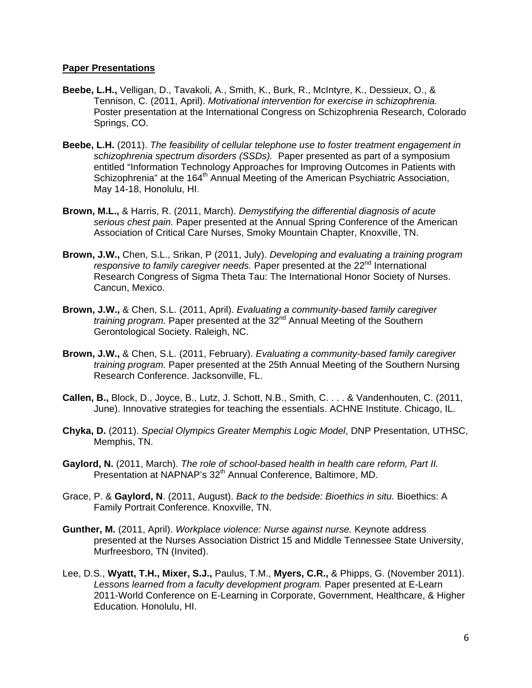#### **Paper Presentations**

- **Beebe, L.H.,** Velligan, D., Tavakoli, A., Smith, K., Burk, R., McIntyre, K., Dessieux, O., & Tennison, C. (2011, April). *Motivational intervention for exercise in schizophrenia.* Poster presentation at the International Congress on Schizophrenia Research, Colorado Springs, CO.
- **Beebe, L.H.** (2011). *The feasibility of cellular telephone use to foster treatment engagement in schizophrenia spectrum disorders (SSDs).* Paper presented as part of a symposium entitled "Information Technology Approaches for Improving Outcomes in Patients with Schizophrenia" at the 164<sup>th</sup> Annual Meeting of the American Psychiatric Association, May 14-18, Honolulu, HI.
- **Brown, M.L.,** & Harris, R. (2011, March). *Demystifying the differential diagnosis of acute serious chest pain.* Paper presented at the Annual Spring Conference of the American Association of Critical Care Nurses, Smoky Mountain Chapter, Knoxville, TN.
- **Brown, J.W.,** Chen, S.L., Srikan, P (2011, July). *Developing and evaluating a training program*  responsive to family caregiver needs. Paper presented at the 22<sup>nd</sup> International Research Congress of Sigma Theta Tau: The International Honor Society of Nurses. Cancun, Mexico.
- **Brown, J.W.,** & Chen, S.L. (2011, April). *Evaluating a community-based family caregiver training program.* Paper presented at the 32<sup>nd</sup> Annual Meeting of the Southern Gerontological Society. Raleigh, NC.
- **Brown, J.W.,** & Chen, S.L. (2011, February). *Evaluating a community-based family caregiver training program.* Paper presented at the 25th Annual Meeting of the Southern Nursing Research Conference. Jacksonville, FL.
- **Callen, B.,** Block, D., Joyce, B., Lutz, J. Schott, N.B., Smith, C. . . . & Vandenhouten, C. (2011, June). Innovative strategies for teaching the essentials. ACHNE Institute. Chicago, IL.
- **Chyka, D.** (2011). *Special Olympics Greater Memphis Logic Model*, DNP Presentation, UTHSC, Memphis, TN.
- **Gaylord, N.** (2011, March). *The role of school-based health in health care reform, Part II.*  Presentation at NAPNAP's 32<sup>th</sup> Annual Conference, Baltimore, MD.
- Grace, P. & **Gaylord, N**. (2011, August). *Back to the bedside: Bioethics in situ.* Bioethics: A Family Portrait Conference. Knoxville, TN.
- **Gunther, M.** (2011, April). *Workplace violence: Nurse against nurse.* Keynote address presented at the Nurses Association District 15 and Middle Tennessee State University, Murfreesboro, TN (Invited).
- Lee, D.S., **Wyatt, T.H., Mixer, S.J.,** Paulus, T.M., **Myers, C.R.,** & Phipps, G. (November 2011). *Lessons learned from a faculty development program.* Paper presented at E-Learn 2011-World Conference on E-Learning in Corporate, Government, Healthcare, & Higher Education*.* Honolulu, HI.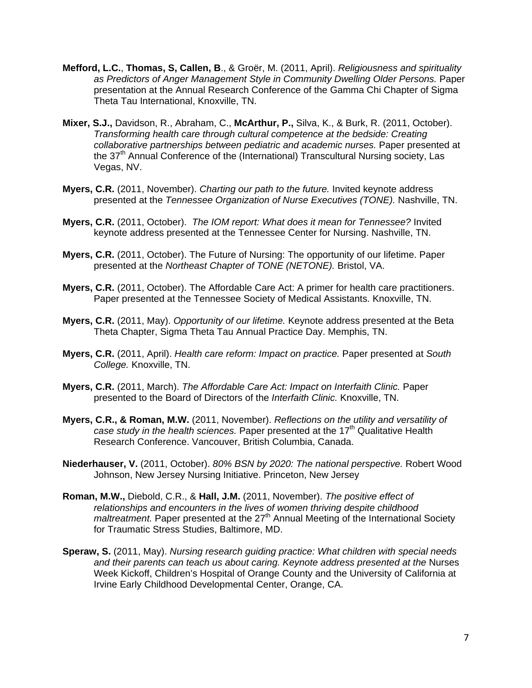- **Mefford, L.C.**, **Thomas, S, Callen, B**., & Groër, M. (2011, April). *Religiousness and spirituality*  as Predictors of Anger Management Style in Community Dwelling Older Persons. Paper presentation at the Annual Research Conference of the Gamma Chi Chapter of Sigma Theta Tau International, Knoxville, TN.
- **Mixer, S.J.,** Davidson, R., Abraham, C., **McArthur, P.,** Silva, K., & Burk, R. (2011, October). *Transforming health care through cultural competence at the bedside: Creating collaborative partnerships between pediatric and academic nurses.* Paper presented at the 37<sup>th</sup> Annual Conference of the (International) Transcultural Nursing society, Las Vegas, NV.
- **Myers, C.R.** (2011, November). *Charting our path to the future.* Invited keynote address presented at the *Tennessee Organization of Nurse Executives (TONE).* Nashville, TN.
- **Myers, C.R.** (2011, October). *The IOM report: What does it mean for Tennessee?* Invited keynote address presented at the Tennessee Center for Nursing. Nashville, TN.
- **Myers, C.R.** (2011, October). The Future of Nursing: The opportunity of our lifetime. Paper presented at the *Northeast Chapter of TONE (NETONE).* Bristol, VA.
- **Myers, C.R.** (2011, October). The Affordable Care Act: A primer for health care practitioners. Paper presented at the Tennessee Society of Medical Assistants. Knoxville, TN.
- **Myers, C.R.** (2011, May). *Opportunity of our lifetime.* Keynote address presented at the Beta Theta Chapter, Sigma Theta Tau Annual Practice Day. Memphis, TN.
- **Myers, C.R.** (2011, April). *Health care reform: Impact on practice.* Paper presented at *South College.* Knoxville, TN.
- **Myers, C.R.** (2011, March). *The Affordable Care Act: Impact on Interfaith Clinic.* Paper presented to the Board of Directors of the *Interfaith Clinic.* Knoxville, TN.
- **Myers, C.R., & Roman, M.W.** (2011, November). *Reflections on the utility and versatility of case study in the health sciences.* Paper presented at the 17<sup>th</sup> Qualitative Health Research Conference. Vancouver, British Columbia, Canada.
- **Niederhauser, V.** (2011, October). *80% BSN by 2020: The national perspective.* Robert Wood Johnson, New Jersey Nursing Initiative. Princeton, New Jersey
- **Roman, M.W.,** Diebold, C.R., & **Hall, J.M.** (2011, November). *The positive effect of relationships and encounters in the lives of women thriving despite childhood maltreatment.* Paper presented at the 27<sup>th</sup> Annual Meeting of the International Society for Traumatic Stress Studies, Baltimore, MD.
- **Speraw, S.** (2011, May). *Nursing research guiding practice: What children with special needs and their parents can teach us about caring. Keynote address presented at the* Nurses Week Kickoff, Children's Hospital of Orange County and the University of California at Irvine Early Childhood Developmental Center, Orange, CA.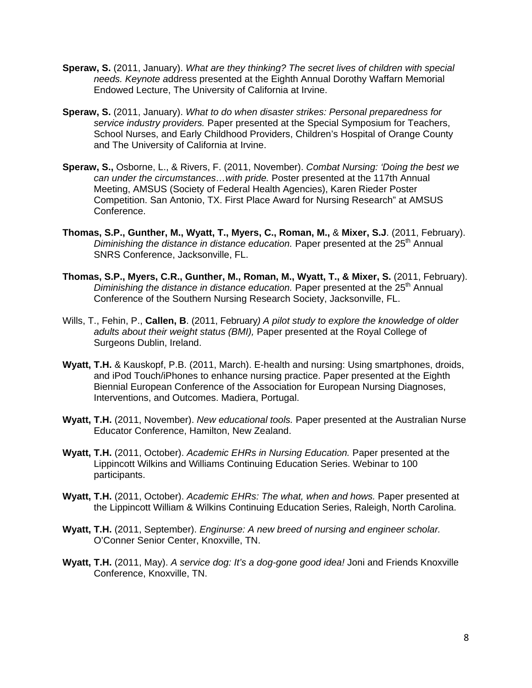- **Speraw, S.** (2011, January). *What are they thinking? The secret lives of children with special needs. Keynote a*ddress presented at the Eighth Annual Dorothy Waffarn Memorial Endowed Lecture, The University of California at Irvine.
- **Speraw, S.** (2011, January). *What to do when disaster strikes: Personal preparedness for service industry providers.* Paper presented at the Special Symposium for Teachers, School Nurses, and Early Childhood Providers, Children's Hospital of Orange County and The University of California at Irvine.
- **Speraw, S.,** Osborne, L., & Rivers, F. (2011, November). *Combat Nursing: 'Doing the best we can under the circumstances…with pride.* Poster presented at the 117th Annual Meeting, AMSUS (Society of Federal Health Agencies), Karen Rieder Poster Competition. San Antonio, TX. First Place Award for Nursing Research" at AMSUS Conference.
- **Thomas, S.P., Gunther, M., Wyatt, T., Myers, C., Roman, M.,** & **Mixer, S.J**. (2011, February). *Diminishing the distance in distance education.* Paper presented at the 25<sup>th</sup> Annual SNRS Conference, Jacksonville, FL.
- **Thomas, S.P., Myers, C.R., Gunther, M., Roman, M., Wyatt, T., & Mixer, S.** (2011, February). *Diminishing the distance in distance education.* Paper presented at the 25<sup>th</sup> Annual Conference of the Southern Nursing Research Society, Jacksonville, FL.
- Wills, T., Fehin, P., **Callen, B**. (2011, February*) A pilot study to explore the knowledge of older adults about their weight status (BMI),* Paper presented at the Royal College of Surgeons Dublin, Ireland.
- **Wyatt, T.H.** & Kauskopf, P.B. (2011, March). E-health and nursing: Using smartphones, droids, and iPod Touch/iPhones to enhance nursing practice. Paper presented at the Eighth Biennial European Conference of the Association for European Nursing Diagnoses, Interventions, and Outcomes. Madiera, Portugal.
- **Wyatt, T.H.** (2011, November). *New educational tools.* Paper presented at the Australian Nurse Educator Conference, Hamilton, New Zealand.
- **Wyatt, T.H.** (2011, October). *Academic EHRs in Nursing Education.* Paper presented at the Lippincott Wilkins and Williams Continuing Education Series. Webinar to 100 participants.
- **Wyatt, T.H.** (2011, October). *Academic EHRs: The what, when and hows.* Paper presented at the Lippincott William & Wilkins Continuing Education Series, Raleigh, North Carolina.
- **Wyatt, T.H.** (2011, September). *Enginurse: A new breed of nursing and engineer scholar.* O'Conner Senior Center, Knoxville, TN.
- **Wyatt, T.H.** (2011, May). *A service dog: It's a dog-gone good idea!* Joni and Friends Knoxville Conference, Knoxville, TN.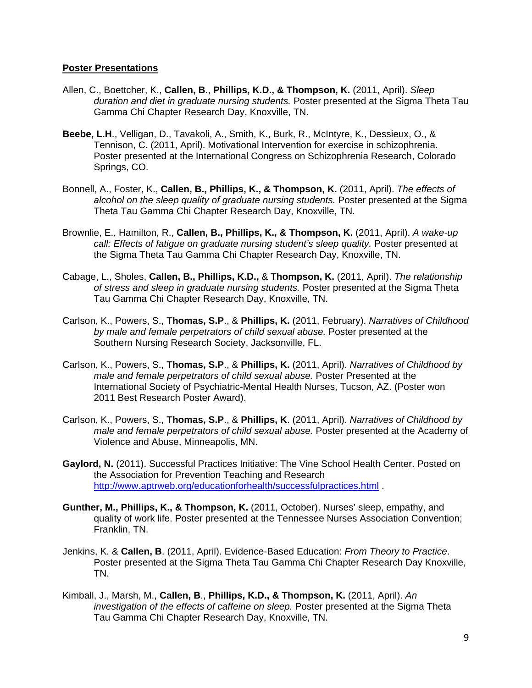#### **Poster Presentations**

- Allen, C., Boettcher, K., **Callen, B**., **Phillips, K.D., & Thompson, K.** (2011, April). *Sleep duration and diet in graduate nursing students.* Poster presented at the Sigma Theta Tau Gamma Chi Chapter Research Day, Knoxville, TN.
- **Beebe, L.H**., Velligan, D., Tavakoli, A., Smith, K., Burk, R., McIntyre, K., Dessieux, O., & Tennison, C. (2011, April). Motivational Intervention for exercise in schizophrenia. Poster presented at the International Congress on Schizophrenia Research, Colorado Springs, CO.
- Bonnell, A., Foster, K., **Callen, B., Phillips, K., & Thompson, K.** (2011, April). *The effects of alcohol on the sleep quality of graduate nursing students.* Poster presented at the Sigma Theta Tau Gamma Chi Chapter Research Day, Knoxville, TN.
- Brownlie, E., Hamilton, R., **Callen, B., Phillips, K., & Thompson, K.** (2011, April). *A wake-up call: Effects of fatigue on graduate nursing student's sleep quality.* Poster presented at the Sigma Theta Tau Gamma Chi Chapter Research Day, Knoxville, TN.
- Cabage, L., Sholes, **Callen, B., Phillips, K.D.,** & **Thompson, K.** (2011, April). *The relationship of stress and sleep in graduate nursing students.* Poster presented at the Sigma Theta Tau Gamma Chi Chapter Research Day, Knoxville, TN.
- Carlson, K., Powers, S., **Thomas, S.P**., & **Phillips, K.** (2011, February). *Narratives of Childhood by male and female perpetrators of child sexual abuse.* Poster presented at the Southern Nursing Research Society, Jacksonville, FL.
- Carlson, K., Powers, S., **Thomas, S.P**., & **Phillips, K.** (2011, April). *Narratives of Childhood by male and female perpetrators of child sexual abuse.* Poster Presented at the International Society of Psychiatric-Mental Health Nurses, Tucson, AZ. (Poster won 2011 Best Research Poster Award).
- Carlson, K., Powers, S., **Thomas, S.P**., & **Phillips, K**. (2011, April). *Narratives of Childhood by male and female perpetrators of child sexual abuse.* Poster presented at the Academy of Violence and Abuse, Minneapolis, MN.
- **Gaylord, N.** (2011). Successful Practices Initiative: The Vine School Health Center. Posted on the Association for Prevention Teaching and Research http://www.aptrweb.org/educationforhealth/successfulpractices.html .
- **Gunther, M., Phillips, K., & Thompson, K.** (2011, October). Nurses' sleep, empathy, and quality of work life. Poster presented at the Tennessee Nurses Association Convention; Franklin, TN.
- Jenkins, K. & **Callen, B**. (2011, April). Evidence-Based Education: *From Theory to Practice*. Poster presented at the Sigma Theta Tau Gamma Chi Chapter Research Day Knoxville, TN.
- Kimball, J., Marsh, M., **Callen, B**., **Phillips, K.D., & Thompson, K.** (2011, April). *An investigation of the effects of caffeine on sleep.* Poster presented at the Sigma Theta Tau Gamma Chi Chapter Research Day, Knoxville, TN.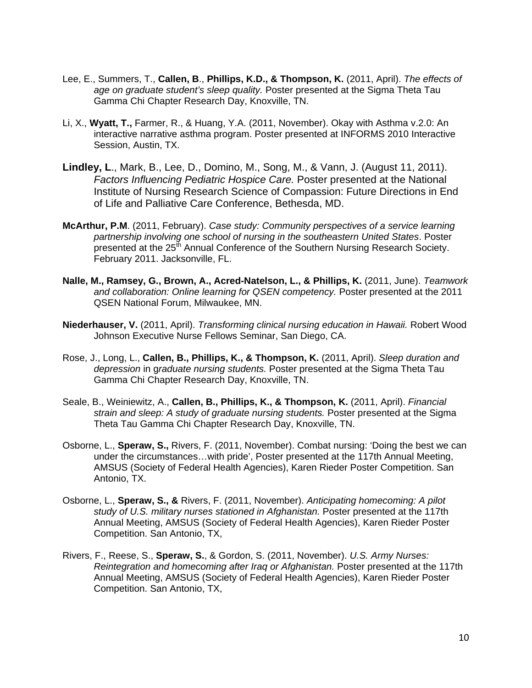- Lee, E., Summers, T., **Callen, B**., **Phillips, K.D., & Thompson, K.** (2011, April). *The effects of age on graduate student's sleep quality.* Poster presented at the Sigma Theta Tau Gamma Chi Chapter Research Day, Knoxville, TN.
- Li, X., **Wyatt, T.,** Farmer, R., & Huang, Y.A. (2011, November). Okay with Asthma v.2.0: An interactive narrative asthma program. Poster presented at INFORMS 2010 Interactive Session, Austin, TX.
- **Lindley, L**., Mark, B., Lee, D., Domino, M., Song, M., & Vann, J. (August 11, 2011). *Factors Influencing Pediatric Hospice Care.* Poster presented at the National Institute of Nursing Research Science of Compassion: Future Directions in End of Life and Palliative Care Conference, Bethesda, MD.
- **McArthur, P.M**. (2011, February). *Case study: Community perspectives of a service learning partnership involving one school of nursing in the southeastern United States*. Poster presented at the 25<sup>th</sup> Annual Conference of the Southern Nursing Research Society. February 2011. Jacksonville, FL.
- **Nalle, M., Ramsey, G., Brown, A., Acred-Natelson, L., & Phillips, K.** (2011, June). *Teamwork and collaboration: Online learning for QSEN competency.* Poster presented at the 2011 QSEN National Forum, Milwaukee, MN.
- **Niederhauser, V.** (2011, April). *Transforming clinical nursing education in Hawaii.* Robert Wood Johnson Executive Nurse Fellows Seminar, San Diego, CA.
- Rose, J., Long, L., **Callen, B., Phillips, K., & Thompson, K.** (2011, April). *Sleep duration and depression* in g*raduate nursing students.* Poster presented at the Sigma Theta Tau Gamma Chi Chapter Research Day, Knoxville, TN.
- Seale, B., Weiniewitz, A., **Callen, B., Phillips, K., & Thompson, K.** (2011, April). *Financial strain and sleep: A study of graduate nursing students.* Poster presented at the Sigma Theta Tau Gamma Chi Chapter Research Day, Knoxville, TN.
- Osborne, L., **Speraw, S.,** Rivers, F. (2011, November). Combat nursing: 'Doing the best we can under the circumstances…with pride', Poster presented at the 117th Annual Meeting, AMSUS (Society of Federal Health Agencies), Karen Rieder Poster Competition. San Antonio, TX.
- Osborne, L., **Speraw, S., &** Rivers, F. (2011, November). *Anticipating homecoming: A pilot study of U.S. military nurses stationed in Afghanistan.* Poster presented at the 117th Annual Meeting, AMSUS (Society of Federal Health Agencies), Karen Rieder Poster Competition. San Antonio, TX,
- Rivers, F., Reese, S., **Speraw, S.**, & Gordon, S. (2011, November). *U.S. Army Nurses: Reintegration and homecoming after Iraq or Afghanistan.* Poster presented at the 117th Annual Meeting, AMSUS (Society of Federal Health Agencies), Karen Rieder Poster Competition. San Antonio, TX,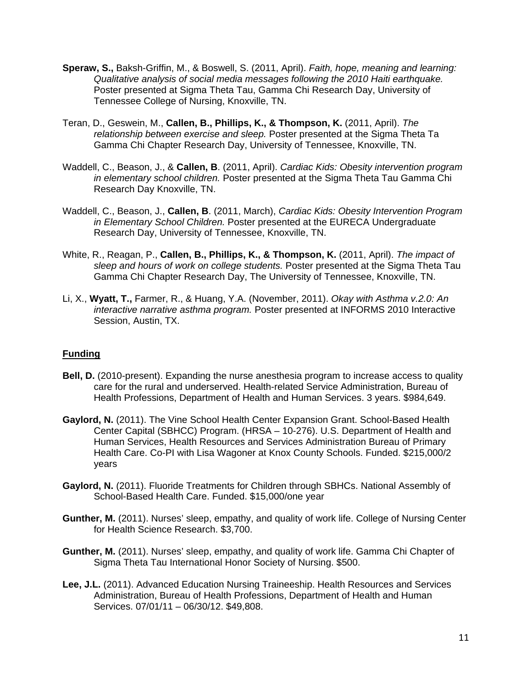- **Speraw, S.,** Baksh-Griffin, M., & Boswell, S. (2011, April). *Faith, hope, meaning and learning: Qualitative analysis of social media messages following the 2010 Haiti earthquake.* Poster presented at Sigma Theta Tau, Gamma Chi Research Day, University of Tennessee College of Nursing, Knoxville, TN.
- Teran, D., Geswein, M., **Callen, B., Phillips, K., & Thompson, K.** (2011, April). *The relationship between exercise and sleep.* Poster presented at the Sigma Theta Ta Gamma Chi Chapter Research Day, University of Tennessee, Knoxville, TN.
- Waddell, C., Beason, J., & **Callen, B**. (2011, April). *Cardiac Kids: Obesity intervention program in elementary school children.* Poster presented at the Sigma Theta Tau Gamma Chi Research Day Knoxville, TN.
- Waddell, C., Beason, J., **Callen, B**. (2011, March), *Cardiac Kids: Obesity Intervention Program in Elementary School Children.* Poster presented at the EURECA Undergraduate Research Day, University of Tennessee, Knoxville, TN.
- White, R., Reagan, P., **Callen, B., Phillips, K., & Thompson, K.** (2011, April). *The impact of sleep and hours of work on college students.* Poster presented at the Sigma Theta Tau Gamma Chi Chapter Research Day, The University of Tennessee, Knoxville, TN.
- Li, X., **Wyatt, T.,** Farmer, R., & Huang, Y.A. (November, 2011). *Okay with Asthma v.2.0: An interactive narrative asthma program.* Poster presented at INFORMS 2010 Interactive Session, Austin, TX.

#### **Funding**

- **Bell, D.** (2010-present). Expanding the nurse anesthesia program to increase access to quality care for the rural and underserved. Health-related Service Administration, Bureau of Health Professions, Department of Health and Human Services. 3 years. \$984,649.
- **Gaylord, N.** (2011). The Vine School Health Center Expansion Grant. School-Based Health Center Capital (SBHCC) Program. (HRSA – 10-276). U.S. Department of Health and Human Services, Health Resources and Services Administration Bureau of Primary Health Care. Co-PI with Lisa Wagoner at Knox County Schools. Funded. \$215,000/2 years
- **Gaylord, N.** (2011). Fluoride Treatments for Children through SBHCs. National Assembly of School-Based Health Care. Funded. \$15,000/one year
- **Gunther, M.** (2011). Nurses' sleep, empathy, and quality of work life. College of Nursing Center for Health Science Research. \$3,700.
- **Gunther, M.** (2011). Nurses' sleep, empathy, and quality of work life. Gamma Chi Chapter of Sigma Theta Tau International Honor Society of Nursing. \$500.
- **Lee, J.L.** (2011). Advanced Education Nursing Traineeship. Health Resources and Services Administration, Bureau of Health Professions, Department of Health and Human Services. 07/01/11 – 06/30/12. \$49,808.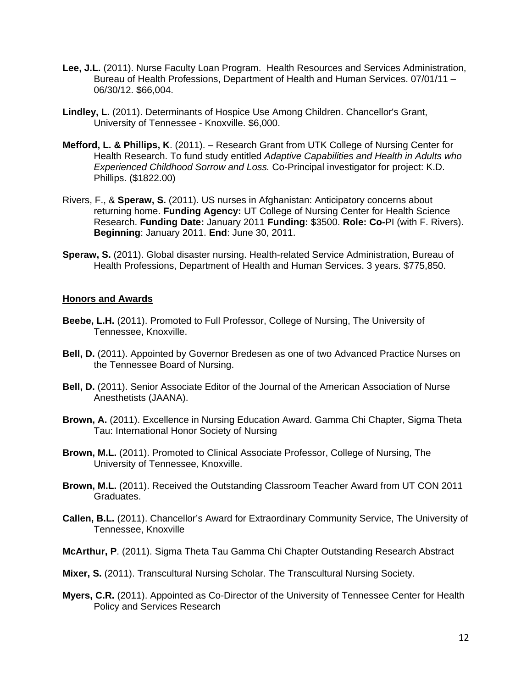- **Lee, J.L.** (2011). Nurse Faculty Loan Program. Health Resources and Services Administration, Bureau of Health Professions, Department of Health and Human Services. 07/01/11 – 06/30/12. \$66,004.
- **Lindley, L.** (2011). Determinants of Hospice Use Among Children. Chancellor's Grant, University of Tennessee - Knoxville. \$6,000.
- **Mefford, L. & Phillips, K**. (2011). Research Grant from UTK College of Nursing Center for Health Research. To fund study entitled *Adaptive Capabilities and Health in Adults who Experienced Childhood Sorrow and Loss.* Co-Principal investigator for project: K.D. Phillips. (\$1822.00)
- Rivers, F., & **Speraw, S.** (2011). US nurses in Afghanistan: Anticipatory concerns about returning home. **Funding Agency:** UT College of Nursing Center for Health Science Research. **Funding Date:** January 2011 **Funding:** \$3500. **Role: Co-**PI (with F. Rivers). **Beginning**: January 2011. **End**: June 30, 2011.
- **Speraw, S.** (2011). Global disaster nursing. Health-related Service Administration, Bureau of Health Professions, Department of Health and Human Services. 3 years. \$775,850.

#### **Honors and Awards**

- **Beebe, L.H.** (2011). Promoted to Full Professor, College of Nursing, The University of Tennessee, Knoxville.
- **Bell, D.** (2011). Appointed by Governor Bredesen as one of two Advanced Practice Nurses on the Tennessee Board of Nursing.
- **Bell, D.** (2011). Senior Associate Editor of the Journal of the American Association of Nurse Anesthetists (JAANA).
- **Brown, A.** (2011). Excellence in Nursing Education Award. Gamma Chi Chapter, Sigma Theta Tau: International Honor Society of Nursing
- **Brown, M.L.** (2011). Promoted to Clinical Associate Professor, College of Nursing, The University of Tennessee, Knoxville.
- **Brown, M.L.** (2011). Received the Outstanding Classroom Teacher Award from UT CON 2011 Graduates.
- **Callen, B.L.** (2011). Chancellor's Award for Extraordinary Community Service, The University of Tennessee, Knoxville
- **McArthur, P**. (2011). Sigma Theta Tau Gamma Chi Chapter Outstanding Research Abstract
- **Mixer, S.** (2011). Transcultural Nursing Scholar. The Transcultural Nursing Society.
- **Myers, C.R.** (2011). Appointed as Co-Director of the University of Tennessee Center for Health Policy and Services Research